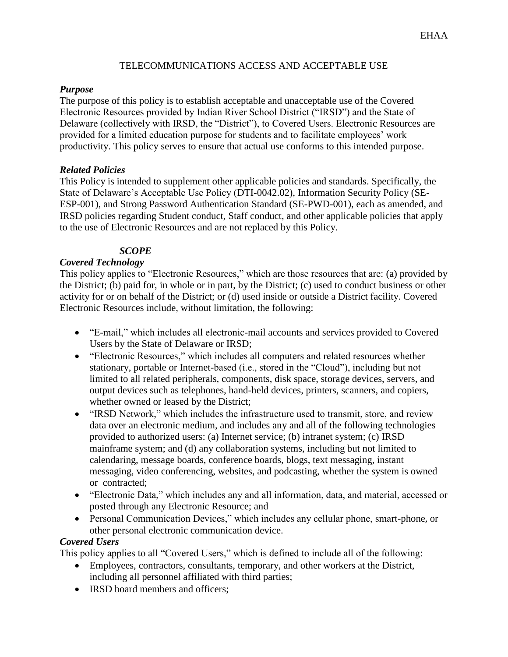## TELECOMMUNICATIONS ACCESS AND ACCEPTABLE USE

### *Purpose*

The purpose of this policy is to establish acceptable and unacceptable use of the Covered Electronic Resources provided by Indian River School District ("IRSD") and the State of Delaware (collectively with IRSD, the "District"), to Covered Users. Electronic Resources are provided for a limited education purpose for students and to facilitate employees' work productivity. This policy serves to ensure that actual use conforms to this intended purpose.

### *Related Policies*

This Policy is intended to supplement other applicable policies and standards. Specifically, the State of Delaware's Acceptable Use Policy (DTI-0042.02), Information Security Policy (SE-ESP-001), and Strong Password Authentication Standard (SE-PWD-001), each as amended, and IRSD policies regarding Student conduct, Staff conduct, and other applicable policies that apply to the use of Electronic Resources and are not replaced by this Policy.

# *SCOPE*

# *Covered Technology*

This policy applies to "Electronic Resources," which are those resources that are: (a) provided by the District; (b) paid for, in whole or in part, by the District; (c) used to conduct business or other activity for or on behalf of the District; or (d) used inside or outside a District facility. Covered Electronic Resources include, without limitation, the following:

- "E-mail," which includes all electronic-mail accounts and services provided to Covered Users by the State of Delaware or IRSD;
- "Electronic Resources," which includes all computers and related resources whether stationary, portable or Internet-based (i.e., stored in the "Cloud"), including but not limited to all related peripherals, components, disk space, storage devices, servers, and output devices such as telephones, hand-held devices, printers, scanners, and copiers, whether owned or leased by the District;
- "IRSD Network," which includes the infrastructure used to transmit, store, and review data over an electronic medium, and includes any and all of the following technologies provided to authorized users: (a) Internet service; (b) intranet system; (c) IRSD mainframe system; and (d) any collaboration systems, including but not limited to calendaring, message boards, conference boards, blogs, text messaging, instant messaging, video conferencing, websites, and podcasting, whether the system is owned or contracted;
- "Electronic Data," which includes any and all information, data, and material, accessed or posted through any Electronic Resource; and
- Personal Communication Devices," which includes any cellular phone, smart-phone, or other personal electronic communication device.

# *Covered Users*

This policy applies to all "Covered Users," which is defined to include all of the following:

- Employees, contractors, consultants, temporary, and other workers at the District, including all personnel affiliated with third parties;
- IRSD board members and officers: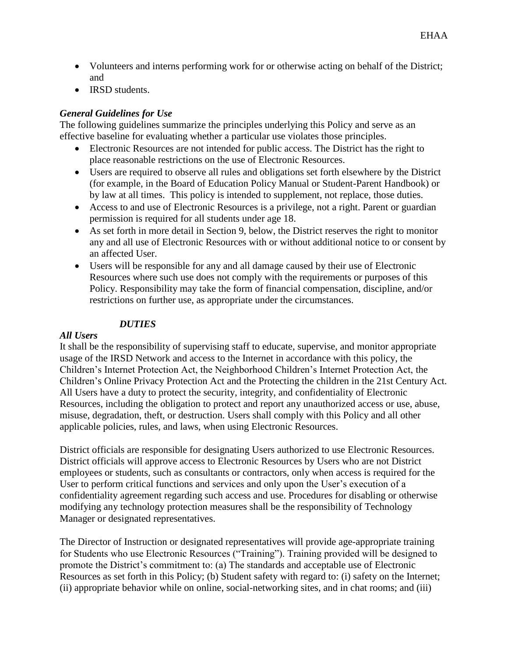- Volunteers and interns performing work for or otherwise acting on behalf of the District; and
- IRSD students.

## *General Guidelines for Use*

The following guidelines summarize the principles underlying this Policy and serve as an effective baseline for evaluating whether a particular use violates those principles.

- Electronic Resources are not intended for public access. The District has the right to place reasonable restrictions on the use of Electronic Resources.
- Users are required to observe all rules and obligations set forth elsewhere by the District (for example, in the Board of Education Policy Manual or Student-Parent Handbook) or by law at all times. This policy is intended to supplement, not replace, those duties.
- Access to and use of Electronic Resources is a privilege, not a right. Parent or guardian permission is required for all students under age 18.
- As set forth in more detail in Section 9, below, the District reserves the right to monitor any and all use of Electronic Resources with or without additional notice to or consent by an affected User.
- Users will be responsible for any and all damage caused by their use of Electronic Resources where such use does not comply with the requirements or purposes of this Policy. Responsibility may take the form of financial compensation, discipline, and/or restrictions on further use, as appropriate under the circumstances.

## *DUTIES*

#### *All Users*

It shall be the responsibility of supervising staff to educate, supervise, and monitor appropriate usage of the IRSD Network and access to the Internet in accordance with this policy, the Children's Internet Protection Act, the Neighborhood Children's Internet Protection Act, the Children's Online Privacy Protection Act and the Protecting the children in the 21st Century Act. All Users have a duty to protect the security, integrity, and confidentiality of Electronic Resources, including the obligation to protect and report any unauthorized access or use, abuse, misuse, degradation, theft, or destruction. Users shall comply with this Policy and all other applicable policies, rules, and laws, when using Electronic Resources.

District officials are responsible for designating Users authorized to use Electronic Resources. District officials will approve access to Electronic Resources by Users who are not District employees or students, such as consultants or contractors, only when access is required for the User to perform critical functions and services and only upon the User's execution of a confidentiality agreement regarding such access and use. Procedures for disabling or otherwise modifying any technology protection measures shall be the responsibility of Technology Manager or designated representatives.

The Director of Instruction or designated representatives will provide age-appropriate training for Students who use Electronic Resources ("Training"). Training provided will be designed to promote the District's commitment to: (a) The standards and acceptable use of Electronic Resources as set forth in this Policy; (b) Student safety with regard to: (i) safety on the Internet; (ii) appropriate behavior while on online, social-networking sites, and in chat rooms; and (iii)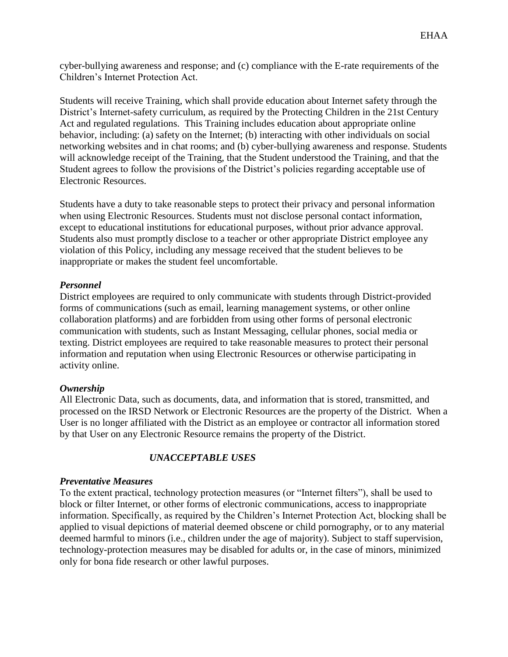cyber-bullying awareness and response; and (c) compliance with the E-rate requirements of the Children's Internet Protection Act.

Students will receive Training, which shall provide education about Internet safety through the District's Internet-safety curriculum, as required by the Protecting Children in the 21st Century Act and regulated regulations. This Training includes education about appropriate online behavior, including: (a) safety on the Internet; (b) interacting with other individuals on social networking websites and in chat rooms; and (b) cyber-bullying awareness and response. Students will acknowledge receipt of the Training, that the Student understood the Training, and that the Student agrees to follow the provisions of the District's policies regarding acceptable use of Electronic Resources.

Students have a duty to take reasonable steps to protect their privacy and personal information when using Electronic Resources. Students must not disclose personal contact information, except to educational institutions for educational purposes, without prior advance approval. Students also must promptly disclose to a teacher or other appropriate District employee any violation of this Policy, including any message received that the student believes to be inappropriate or makes the student feel uncomfortable.

# *Personnel*

District employees are required to only communicate with students through District-provided forms of communications (such as email, learning management systems, or other online collaboration platforms) and are forbidden from using other forms of personal electronic communication with students, such as Instant Messaging, cellular phones, social media or texting. District employees are required to take reasonable measures to protect their personal information and reputation when using Electronic Resources or otherwise participating in activity online.

# *Ownership*

All Electronic Data, such as documents, data, and information that is stored, transmitted, and processed on the IRSD Network or Electronic Resources are the property of the District. When a User is no longer affiliated with the District as an employee or contractor all information stored by that User on any Electronic Resource remains the property of the District.

# *UNACCEPTABLE USES*

# *Preventative Measures*

To the extent practical, technology protection measures (or "Internet filters"), shall be used to block or filter Internet, or other forms of electronic communications, access to inappropriate information. Specifically, as required by the Children's Internet Protection Act, blocking shall be applied to visual depictions of material deemed obscene or child pornography, or to any material deemed harmful to minors (i.e., children under the age of majority). Subject to staff supervision, technology-protection measures may be disabled for adults or, in the case of minors, minimized only for bona fide research or other lawful purposes.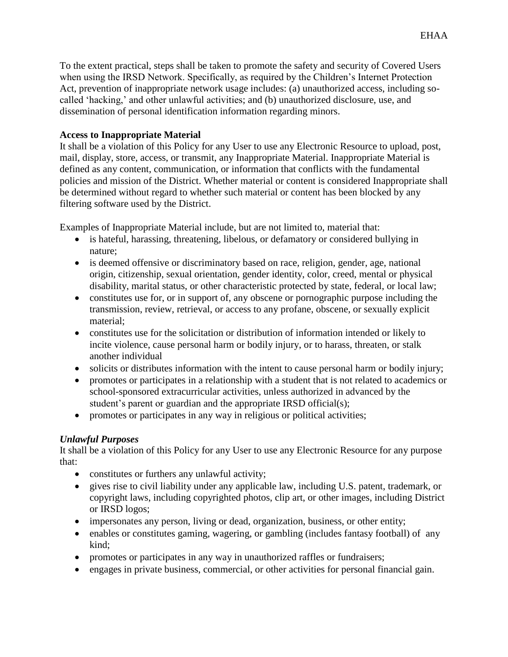To the extent practical, steps shall be taken to promote the safety and security of Covered Users when using the IRSD Network. Specifically, as required by the Children's Internet Protection Act, prevention of inappropriate network usage includes: (a) unauthorized access, including socalled 'hacking,' and other unlawful activities; and (b) unauthorized disclosure, use, and dissemination of personal identification information regarding minors.

## **Access to Inappropriate Material**

It shall be a violation of this Policy for any User to use any Electronic Resource to upload, post, mail, display, store, access, or transmit, any Inappropriate Material. Inappropriate Material is defined as any content, communication, or information that conflicts with the fundamental policies and mission of the District. Whether material or content is considered Inappropriate shall be determined without regard to whether such material or content has been blocked by any filtering software used by the District.

Examples of Inappropriate Material include, but are not limited to, material that:

- is hateful, harassing, threatening, libelous, or defamatory or considered bullying in nature;
- is deemed offensive or discriminatory based on race, religion, gender, age, national origin, citizenship, sexual orientation, gender identity, color, creed, mental or physical disability, marital status, or other characteristic protected by state, federal, or local law;
- constitutes use for, or in support of, any obscene or pornographic purpose including the transmission, review, retrieval, or access to any profane, obscene, or sexually explicit material;
- constitutes use for the solicitation or distribution of information intended or likely to incite violence, cause personal harm or bodily injury, or to harass, threaten, or stalk another individual
- solicits or distributes information with the intent to cause personal harm or bodily injury;
- promotes or participates in a relationship with a student that is not related to academics or school-sponsored extracurricular activities, unless authorized in advanced by the student's parent or guardian and the appropriate IRSD official(s);
- promotes or participates in any way in religious or political activities;

# *Unlawful Purposes*

It shall be a violation of this Policy for any User to use any Electronic Resource for any purpose that:

- constitutes or furthers any unlawful activity;
- gives rise to civil liability under any applicable law, including U.S. patent, trademark, or copyright laws, including copyrighted photos, clip art, or other images, including District or IRSD logos;
- impersonates any person, living or dead, organization, business, or other entity;
- enables or constitutes gaming, wagering, or gambling (includes fantasy football) of any kind;
- promotes or participates in any way in unauthorized raffles or fundraisers;
- engages in private business, commercial, or other activities for personal financial gain.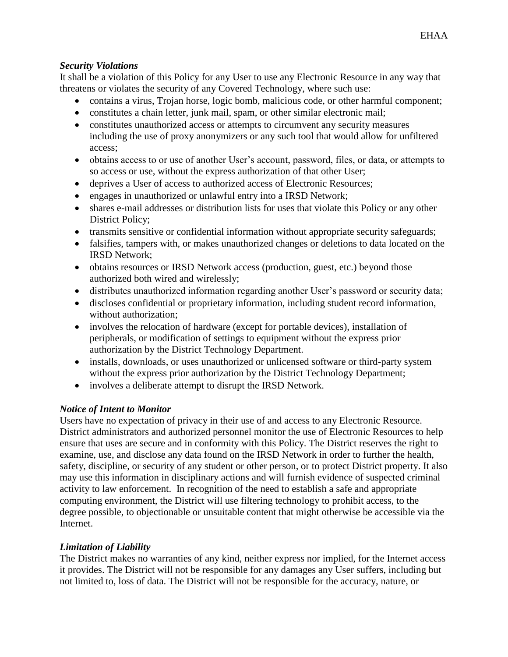## *Security Violations*

It shall be a violation of this Policy for any User to use any Electronic Resource in any way that threatens or violates the security of any Covered Technology, where such use:

- contains a virus, Trojan horse, logic bomb, malicious code, or other harmful component;
- constitutes a chain letter, junk mail, spam, or other similar electronic mail;
- constitutes unauthorized access or attempts to circumvent any security measures including the use of proxy anonymizers or any such tool that would allow for unfiltered access;
- obtains access to or use of another User's account, password, files, or data, or attempts to so access or use, without the express authorization of that other User;
- deprives a User of access to authorized access of Electronic Resources;
- engages in unauthorized or unlawful entry into a IRSD Network;
- shares e-mail addresses or distribution lists for uses that violate this Policy or any other District Policy;
- transmits sensitive or confidential information without appropriate security safeguards;
- falsifies, tampers with, or makes unauthorized changes or deletions to data located on the IRSD Network;
- obtains resources or IRSD Network access (production, guest, etc.) beyond those authorized both wired and wirelessly;
- distributes unauthorized information regarding another User's password or security data;
- discloses confidential or proprietary information, including student record information, without authorization;
- involves the relocation of hardware (except for portable devices), installation of peripherals, or modification of settings to equipment without the express prior authorization by the District Technology Department.
- installs, downloads, or uses unauthorized or unlicensed software or third-party system without the express prior authorization by the District Technology Department;
- involves a deliberate attempt to disrupt the IRSD Network.

# *Notice of Intent to Monitor*

Users have no expectation of privacy in their use of and access to any Electronic Resource. District administrators and authorized personnel monitor the use of Electronic Resources to help ensure that uses are secure and in conformity with this Policy. The District reserves the right to examine, use, and disclose any data found on the IRSD Network in order to further the health, safety, discipline, or security of any student or other person, or to protect District property. It also may use this information in disciplinary actions and will furnish evidence of suspected criminal activity to law enforcement. In recognition of the need to establish a safe and appropriate computing environment, the District will use filtering technology to prohibit access, to the degree possible, to objectionable or unsuitable content that might otherwise be accessible via the Internet.

# *Limitation of Liability*

The District makes no warranties of any kind, neither express nor implied, for the Internet access it provides. The District will not be responsible for any damages any User suffers, including but not limited to, loss of data. The District will not be responsible for the accuracy, nature, or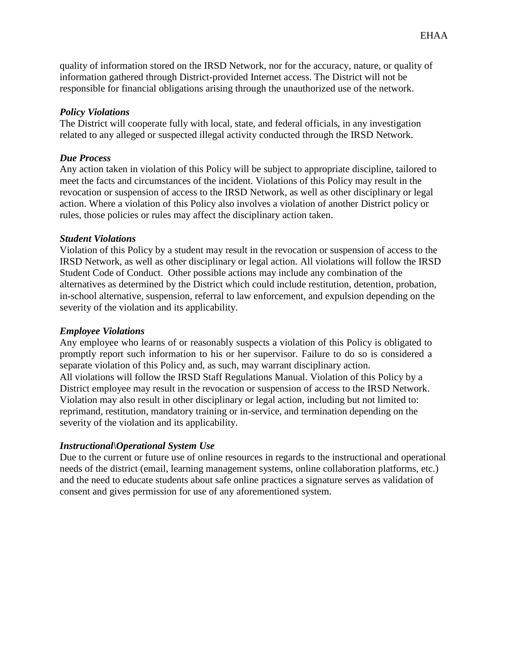quality of information stored on the IRSD Network, nor for the accuracy, nature, or quality of information gathered through District-provided Internet access. The District will not be responsible for financial obligations arising through the unauthorized use of the network.

### *Policy Violations*

The District will cooperate fully with local, state, and federal officials, in any investigation related to any alleged or suspected illegal activity conducted through the IRSD Network.

### *Due Process*

Any action taken in violation of this Policy will be subject to appropriate discipline, tailored to meet the facts and circumstances of the incident. Violations of this Policy may result in the revocation or suspension of access to the IRSD Network, as well as other disciplinary or legal action. Where a violation of this Policy also involves a violation of another District policy or rules, those policies or rules may affect the disciplinary action taken.

#### *Student Violations*

Violation of this Policy by a student may result in the revocation or suspension of access to the IRSD Network, as well as other disciplinary or legal action. All violations will follow the IRSD Student Code of Conduct. Other possible actions may include any combination of the alternatives as determined by the District which could include restitution, detention, probation, in-school alternative, suspension, referral to law enforcement, and expulsion depending on the severity of the violation and its applicability.

#### *Employee Violations*

Any employee who learns of or reasonably suspects a violation of this Policy is obligated to promptly report such information to his or her supervisor. Failure to do so is considered a separate violation of this Policy and, as such, may warrant disciplinary action. All violations will follow the IRSD Staff Regulations Manual. Violation of this Policy by a District employee may result in the revocation or suspension of access to the IRSD Network. Violation may also result in other disciplinary or legal action, including but not limited to: reprimand, restitution, mandatory training or in-service, and termination depending on the severity of the violation and its applicability.

#### *Instructional\Operational System Use*

Due to the current or future use of online resources in regards to the instructional and operational needs of the district (email, learning management systems, online collaboration platforms, etc.) and the need to educate students about safe online practices a signature serves as validation of consent and gives permission for use of any aforementioned system.